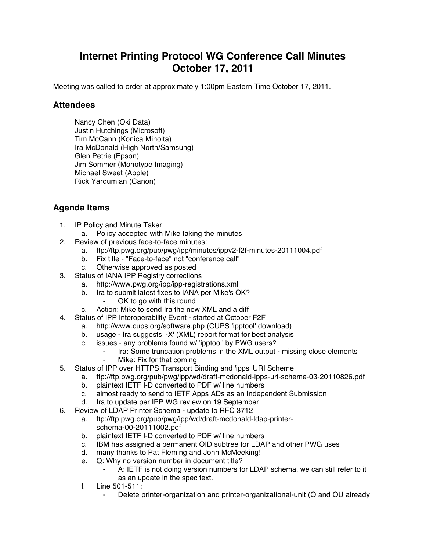## **Internet Printing Protocol WG Conference Call Minutes October 17, 2011**

Meeting was called to order at approximately 1:00pm Eastern Time October 17, 2011.

## **Attendees**

Nancy Chen (Oki Data) Justin Hutchings (Microsoft) Tim McCann (Konica Minolta) Ira McDonald (High North/Samsung) Glen Petrie (Epson) Jim Sommer (Monotype Imaging) Michael Sweet (Apple) Rick Yardumian (Canon)

## **Agenda Items**

- 1. IP Policy and Minute Taker
	- a. Policy accepted with Mike taking the minutes
- 2. Review of previous face-to-face minutes:
	- a. ftp://ftp.pwg.org/pub/pwg/ipp/minutes/ippv2-f2f-minutes-20111004.pdf
	- b. Fix title "Face-to-face" not "conference call"
	- c. Otherwise approved as posted
- 3. Status of IANA IPP Registry corrections
	- a. http://www.pwg.org/ipp/ipp-registrations.xml
	- b. Ira to submit latest fixes to IANA per Mike's OK?
		- OK to go with this round
	- c. Action: Mike to send Ira the new XML and a diff
- 4. Status of IPP Interoperability Event started at October F2F
	- a. http://www.cups.org/software.php (CUPS 'ipptool' download)
	- b. usage Ira suggests '-X' (XML) report format for best analysis
	- c. issues any problems found w/ 'ipptool' by PWG users?
		- ⁃ Ira: Some truncation problems in the XML output missing close elements
		- Mike: Fix for that coming
- 5. Status of IPP over HTTPS Transport Binding and 'ipps' URI Scheme
	- a. ftp://ftp.pwg.org/pub/pwg/ipp/wd/draft-mcdonald-ipps-uri-scheme-03-20110826.pdf
	- b. plaintext IETF I-D converted to PDF w/ line numbers
	- c. almost ready to send to IETF Apps ADs as an Independent Submission
	- d. Ira to update per IPP WG review on 19 September
- 6. Review of LDAP Printer Schema update to RFC 3712
	- a. ftp://ftp.pwg.org/pub/pwg/ipp/wd/draft-mcdonald-ldap-printerschema-00-20111002.pdf
	- b. plaintext IETF I-D converted to PDF w/ line numbers
	- c. IBM has assigned a permanent OID subtree for LDAP and other PWG uses
	- d. many thanks to Pat Fleming and John McMeeking!
	- e. Q: Why no version number in document title?
		- A: IETF is not doing version numbers for LDAP schema, we can still refer to it as an update in the spec text.
	- f. Line 501-511:
		- Delete printer-organization and printer-organizational-unit (O and OU already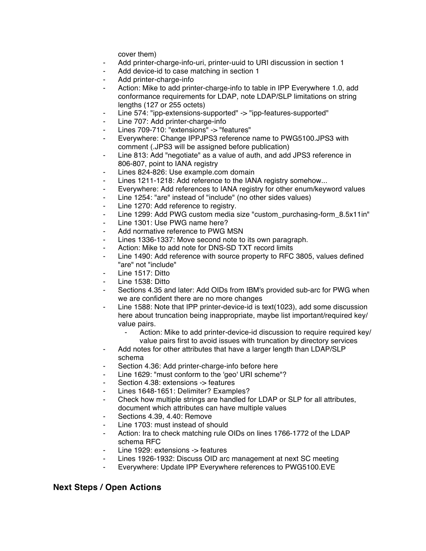cover them)

- Add printer-charge-info-uri, printer-uuid to URI discussion in section 1
- ⁃ Add device-id to case matching in section 1
- Add printer-charge-info
- Action: Mike to add printer-charge-info to table in IPP Everywhere 1.0, add conformance requirements for LDAP, note LDAP/SLP limitations on string lengths (127 or 255 octets)
- Line 574: "ipp-extensions-supported" -> "ipp-features-supported"
- Line 707: Add printer-charge-info
- ⁃ Lines 709-710: "extensions" -> "features"
- Everywhere: Change IPPJPS3 reference name to PWG5100.JPS3 with comment (.JPS3 will be assigned before publication)
- ⁃ Line 813: Add "negotiate" as a value of auth, and add JPS3 reference in 806-807, point to IANA registry
- Lines 824-826: Use example.com domain
- Lines 1211-1218: Add reference to the IANA registry somehow...
- ⁃ Everywhere: Add references to IANA registry for other enum/keyword values
- Line 1254: "are" instead of "include" (no other sides values)
- Line 1270: Add reference to registry.
- ⁃ Line 1299: Add PWG custom media size "custom\_purchasing-form\_8.5x11in"
- Line 1301: Use PWG name here?
- Add normative reference to PWG MSN
- Lines 1336-1337: Move second note to its own paragraph.
- Action: Mike to add note for DNS-SD TXT record limits
- Line 1490: Add reference with source property to RFC 3805, values defined "are" not "include"
- Line 1517: Ditto
- Line 1538: Ditto
- Sections 4.35 and later: Add OIDs from IBM's provided sub-arc for PWG when we are confident there are no more changes
- Line 1588: Note that IPP printer-device-id is text(1023), add some discussion here about truncation being inappropriate, maybe list important/required key/ value pairs.
	- ⁃ Action: Mike to add printer-device-id discussion to require required key/ value pairs first to avoid issues with truncation by directory services
- Add notes for other attributes that have a larger length than LDAP/SLP schema
- Section 4.36: Add printer-charge-info before here
- Line 1629: "must conform to the 'geo' URI scheme"?
- Section 4.38: extensions -> features
- Lines 1648-1651: Delimiter? Examples?
- Check how multiple strings are handled for LDAP or SLP for all attributes, document which attributes can have multiple values
- Sections 4.39, 4.40: Remove
- Line 1703: must instead of should
- Action: Ira to check matching rule OIDs on lines 1766-1772 of the LDAP schema RFC
- Line 1929: extensions -> features
- Lines 1926-1932: Discuss OID arc management at next SC meeting
- ⁃ Everywhere: Update IPP Everywhere references to PWG5100.EVE

## **Next Steps / Open Actions**